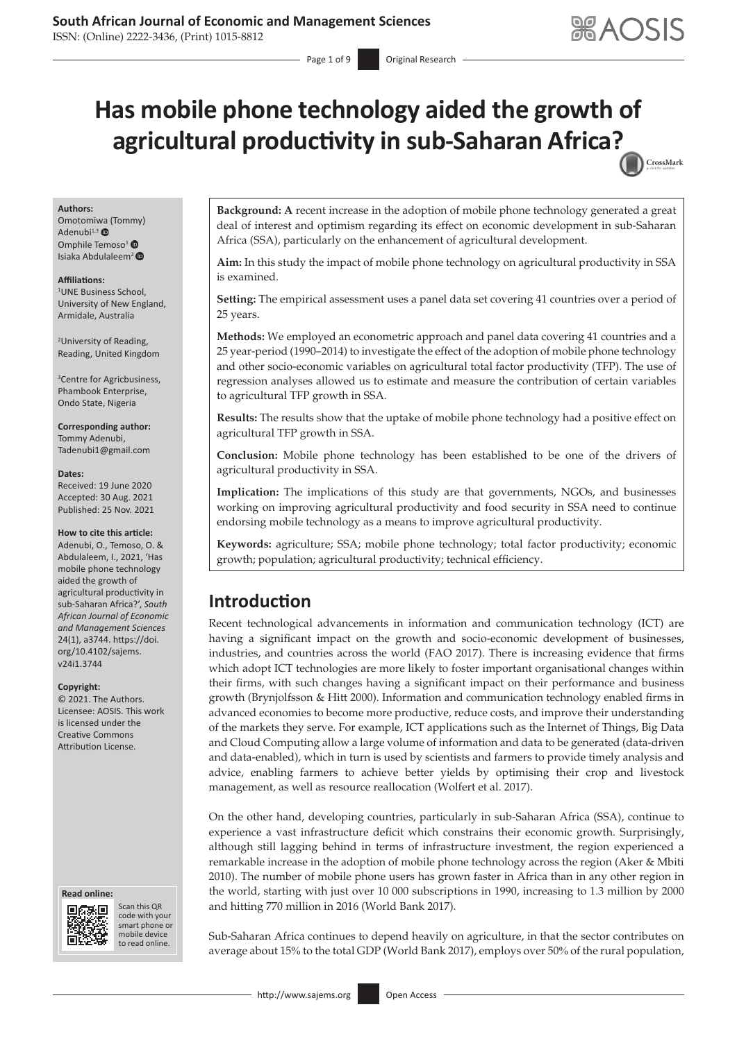**ABAOSIS** 

# **Has mobile phone technology aided the growth of agricultural productivity in sub-Saharan Africa[?](http://crossmark.crossref.org/dialog/?doi=10.4102/sajems.v24i1.3744=pdf&date_stamp=2021-11-25)**  CrossMark

Page 1 of 9 **Original Research** 

#### **Authors:**

Omotomi[wa \(](https://orcid.org/0000-0002-1415-417X)Tommy) Adenubi $^{1,3}$   $\bullet$ Omphile Temoso<sup>1</sup><sup>®</sup> Isiaka Abdulaleem<sup>[2](https://orcid.org/0000-0002-6227-6753)</sup>

#### **Affiliations:**

1 UNE Business School, University of New England, Armidale, Australia

2 University of Reading, Reading, United Kingdom

3 Centre for Agricbusiness, Phambook Enterprise, Ondo State, Nigeria

## **Corresponding author:**

Tommy Adenubi, [Tadenubi1@gmail.com](mailto:Tadenubi1@gmail.com)

#### **Dates:**

Received: 19 June 2020 Accepted: 30 Aug. 2021 Published: 25 Nov. 2021

#### **How to cite this article:**

Adenubi, O., Temoso, O. & Abdulaleem, I., 2021, 'Has mobile phone technology aided the growth of agricultural productivity in sub-Saharan Africa?', *South African Journal of Economic and Management Sciences* 24(1), a3744. [https://doi.](https://doi.org/10.4102/sajems.v24i1.3744) [org/10.4102/sajems.](https://doi.org/10.4102/sajems.v24i1.3744) [v24i1.3744](https://doi.org/10.4102/sajems.v24i1.3744)

#### **Copyright:**

© 2021. The Authors. Licensee: AOSIS. This work is licensed under the Creative Commons Attribution License.

#### **Read online: Read online:**



Scan this QR code with your Scan this QR<br>code with your<br>smart phone or<br>mobile device mobile device to read online. to read online.

**Background: A** recent increase in the adoption of mobile phone technology generated a great deal of interest and optimism regarding its effect on economic development in sub-Saharan Africa (SSA), particularly on the enhancement of agricultural development.

**Aim:** In this study the impact of mobile phone technology on agricultural productivity in SSA is examined.

**Setting:** The empirical assessment uses a panel data set covering 41 countries over a period of 25 years.

**Methods:** We employed an econometric approach and panel data covering 41 countries and a 25 year-period (1990–2014) to investigate the effect of the adoption of mobile phone technology and other socio-economic variables on agricultural total factor productivity (TFP). The use of regression analyses allowed us to estimate and measure the contribution of certain variables to agricultural TFP growth in SSA.

**Results:** The results show that the uptake of mobile phone technology had a positive effect on agricultural TFP growth in SSA.

**Conclusion:** Mobile phone technology has been established to be one of the drivers of agricultural productivity in SSA.

**Implication:** The implications of this study are that governments, NGOs, and businesses working on improving agricultural productivity and food security in SSA need to continue endorsing mobile technology as a means to improve agricultural productivity.

**Keywords:** agriculture; SSA; mobile phone technology; total factor productivity; economic growth; population; agricultural productivity; technical efficiency.

# **Introduction**

Recent technological advancements in information and communication technology (ICT) are having a significant impact on the growth and socio-economic development of businesses, industries, and countries across the world (FAO 2017). There is increasing evidence that firms which adopt ICT technologies are more likely to foster important organisational changes within their firms, with such changes having a significant impact on their performance and business growth (Brynjolfsson & Hitt 2000). Information and communication technology enabled firms in advanced economies to become more productive, reduce costs, and improve their understanding of the markets they serve. For example, ICT applications such as the Internet of Things, Big Data and Cloud Computing allow a large volume of information and data to be generated (data-driven and data-enabled), which in turn is used by scientists and farmers to provide timely analysis and advice, enabling farmers to achieve better yields by optimising their crop and livestock management, as well as resource reallocation (Wolfert et al. 2017).

On the other hand, developing countries, particularly in sub-Saharan Africa (SSA), continue to experience a vast infrastructure deficit which constrains their economic growth. Surprisingly, although still lagging behind in terms of infrastructure investment, the region experienced a remarkable increase in the adoption of mobile phone technology across the region (Aker & Mbiti 2010). The number of mobile phone users has grown faster in Africa than in any other region in the world, starting with just over 10 000 subscriptions in 1990, increasing to 1.3 million by 2000 and hitting 770 million in 2016 (World Bank 2017).

Sub-Saharan Africa continues to depend heavily on agriculture, in that the sector contributes on average about 15% to the total GDP (World Bank 2017), employs over 50% of the rural population,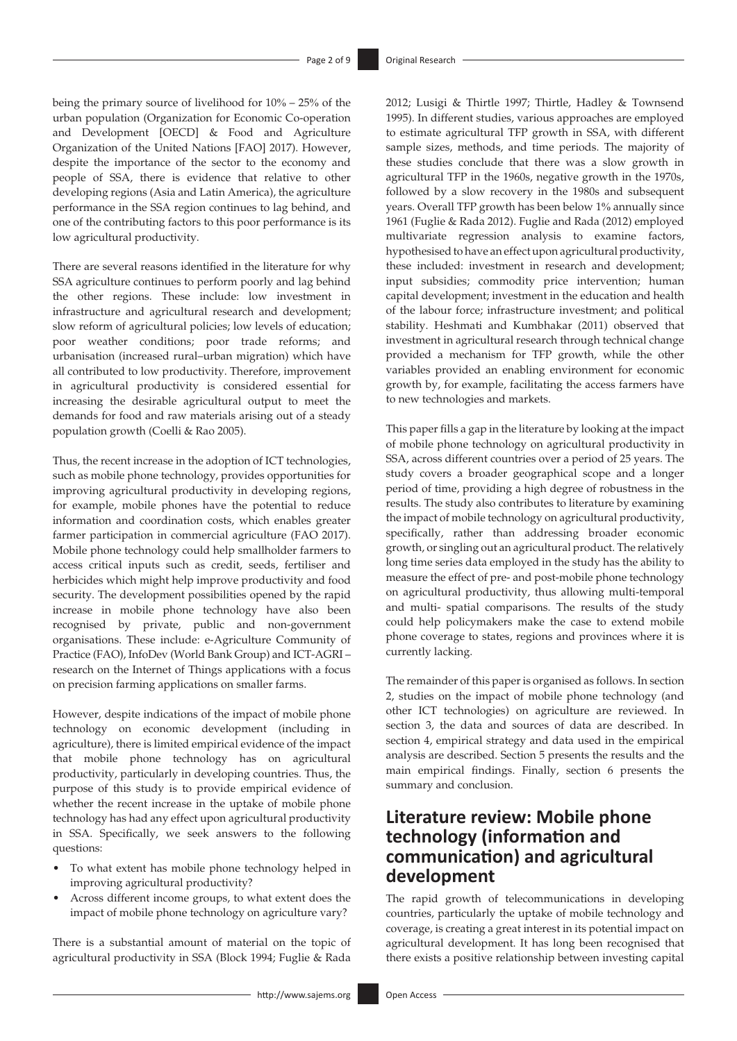being the primary source of livelihood for 10% – 25% of the urban population (Organization for Economic Co-operation and Development [OECD] & Food and Agriculture Organization of the United Nations [FAO] 2017). However, despite the importance of the sector to the economy and people of SSA, there is evidence that relative to other developing regions (Asia and Latin America), the agriculture performance in the SSA region continues to lag behind, and one of the contributing factors to this poor performance is its low agricultural productivity.

There are several reasons identified in the literature for why SSA agriculture continues to perform poorly and lag behind the other regions. These include: low investment in infrastructure and agricultural research and development; slow reform of agricultural policies; low levels of education; poor weather conditions; poor trade reforms; and urbanisation (increased rural–urban migration) which have all contributed to low productivity. Therefore, improvement in agricultural productivity is considered essential for increasing the desirable agricultural output to meet the demands for food and raw materials arising out of a steady population growth (Coelli & Rao 2005).

Thus, the recent increase in the adoption of ICT technologies, such as mobile phone technology, provides opportunities for improving agricultural productivity in developing regions, for example, mobile phones have the potential to reduce information and coordination costs, which enables greater farmer participation in commercial agriculture (FAO 2017). Mobile phone technology could help smallholder farmers to access critical inputs such as credit, seeds, fertiliser and herbicides which might help improve productivity and food security. The development possibilities opened by the rapid increase in mobile phone technology have also been recognised by private, public and non-government organisations. These include: e-Agriculture Community of Practice (FAO), InfoDev (World Bank Group) and ICT-AGRI – research on the Internet of Things applications with a focus on precision farming applications on smaller farms.

However, despite indications of the impact of mobile phone technology on economic development (including in agriculture), there is limited empirical evidence of the impact that mobile phone technology has on agricultural productivity, particularly in developing countries. Thus, the purpose of this study is to provide empirical evidence of whether the recent increase in the uptake of mobile phone technology has had any effect upon agricultural productivity in SSA. Specifically, we seek answers to the following questions:

- To what extent has mobile phone technology helped in improving agricultural productivity?
- Across different income groups, to what extent does the impact of mobile phone technology on agriculture vary?

There is a substantial amount of material on the topic of agricultural productivity in SSA (Block 1994; Fuglie & Rada hypothesised to have an effect upon agricultural productivity, these included: investment in research and development; input subsidies; commodity price intervention; human capital development; investment in the education and health of the labour force; infrastructure investment; and political stability. Heshmati and Kumbhakar (2011) observed that investment in agricultural research through technical change provided a mechanism for TFP growth, while the other variables provided an enabling environment for economic growth by, for example, facilitating the access farmers have to new technologies and markets. This paper fills a gap in the literature by looking at the impact of mobile phone technology on agricultural productivity in

SSA, across different countries over a period of 25 years. The study covers a broader geographical scope and a longer period of time, providing a high degree of robustness in the results. The study also contributes to literature by examining the impact of mobile technology on agricultural productivity, specifically, rather than addressing broader economic growth, or singling out an agricultural product. The relatively long time series data employed in the study has the ability to measure the effect of pre- and post-mobile phone technology on agricultural productivity, thus allowing multi-temporal and multi- spatial comparisons. The results of the study could help policymakers make the case to extend mobile phone coverage to states, regions and provinces where it is currently lacking.

2012; Lusigi & Thirtle 1997; Thirtle, Hadley & Townsend 1995). In different studies, various approaches are employed to estimate agricultural TFP growth in SSA, with different sample sizes, methods, and time periods. The majority of these studies conclude that there was a slow growth in agricultural TFP in the 1960s, negative growth in the 1970s, followed by a slow recovery in the 1980s and subsequent years. Overall TFP growth has been below 1% annually since 1961 (Fuglie & Rada 2012). Fuglie and Rada (2012) employed multivariate regression analysis to examine factors,

The remainder of this paper is organised as follows. In section 2, studies on the impact of mobile phone technology (and other ICT technologies) on agriculture are reviewed. In section 3, the data and sources of data are described. In section 4, empirical strategy and data used in the empirical analysis are described. Section 5 presents the results and the main empirical findings. Finally, section 6 presents the summary and conclusion.

# **Literature review: Mobile phone technology (information and communication) and agricultural development**

The rapid growth of telecommunications in developing countries, particularly the uptake of mobile technology and coverage, is creating a great interest in its potential impact on agricultural development. It has long been recognised that there exists a positive relationship between investing capital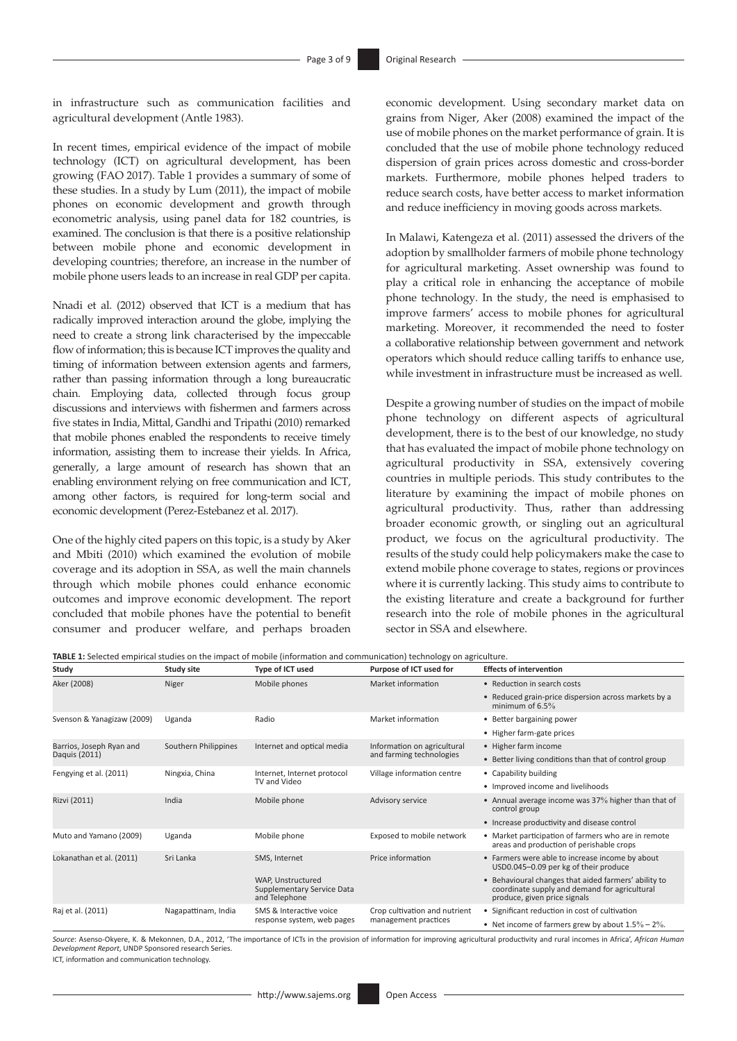in infrastructure such as communication facilities and agricultural development (Antle 1983).

In recent times, empirical evidence of the impact of mobile technology (ICT) on agricultural development, has been growing (FAO 2017). Table 1 provides a summary of some of these studies. In a study by Lum (2011), the impact of mobile phones on economic development and growth through econometric analysis, using panel data for 182 countries, is examined. The conclusion is that there is a positive relationship between mobile phone and economic development in developing countries; therefore, an increase in the number of mobile phone users leads to an increase in real GDP per capita.

Nnadi et al. (2012) observed that ICT is a medium that has radically improved interaction around the globe, implying the need to create a strong link characterised by the impeccable flow of information; this is because ICT improves the quality and timing of information between extension agents and farmers, rather than passing information through a long bureaucratic chain. Employing data, collected through focus group discussions and interviews with fishermen and farmers across five states in India, Mittal, Gandhi and Tripathi (2010) remarked that mobile phones enabled the respondents to receive timely information, assisting them to increase their yields. In Africa, generally, a large amount of research has shown that an enabling environment relying on free communication and ICT, among other factors, is required for long-term social and economic development (Perez-Estebanez et al. 2017).

One of the highly cited papers on this topic, is a study by Aker and Mbiti (2010) which examined the evolution of mobile coverage and its adoption in SSA, as well the main channels through which mobile phones could enhance economic outcomes and improve economic development. The report concluded that mobile phones have the potential to benefit consumer and producer welfare, and perhaps broaden

economic development. Using secondary market data on grains from Niger, Aker (2008) examined the impact of the use of mobile phones on the market performance of grain. It is concluded that the use of mobile phone technology reduced dispersion of grain prices across domestic and cross-border markets. Furthermore, mobile phones helped traders to reduce search costs, have better access to market information and reduce inefficiency in moving goods across markets.

In Malawi, Katengeza et al. (2011) assessed the drivers of the adoption by smallholder farmers of mobile phone technology for agricultural marketing. Asset ownership was found to play a critical role in enhancing the acceptance of mobile phone technology. In the study, the need is emphasised to improve farmers' access to mobile phones for agricultural marketing. Moreover, it recommended the need to foster a collaborative relationship between government and network operators which should reduce calling tariffs to enhance use, while investment in infrastructure must be increased as well.

Despite a growing number of studies on the impact of mobile phone technology on different aspects of agricultural development, there is to the best of our knowledge, no study that has evaluated the impact of mobile phone technology on agricultural productivity in SSA, extensively covering countries in multiple periods. This study contributes to the literature by examining the impact of mobile phones on agricultural productivity. Thus, rather than addressing broader economic growth, or singling out an agricultural product, we focus on the agricultural productivity. The results of the study could help policymakers make the case to extend mobile phone coverage to states, regions or provinces where it is currently lacking. This study aims to contribute to the existing literature and create a background for further research into the role of mobile phones in the agricultural sector in SSA and elsewhere.

**TABLE 1:** Selected empirical studies on the impact of mobile (information and communication) technology on agriculture.

| Study                                     | <b>Study site</b>    | Type of ICT used                                                 | Purpose of ICT used for                                 | <b>Effects of intervention</b>                                                                                                        |
|-------------------------------------------|----------------------|------------------------------------------------------------------|---------------------------------------------------------|---------------------------------------------------------------------------------------------------------------------------------------|
| Aker (2008)                               | Niger                | Mobile phones                                                    | Market information                                      | • Reduction in search costs                                                                                                           |
|                                           |                      |                                                                  |                                                         | • Reduced grain-price dispersion across markets by a<br>minimum of $6.5\%$                                                            |
| Svenson & Yanagizaw (2009)                | Uganda               | Radio                                                            | Market information                                      | • Better bargaining power                                                                                                             |
|                                           |                      |                                                                  |                                                         | • Higher farm-gate prices                                                                                                             |
| Barrios, Joseph Ryan and<br>Daquis (2011) | Southern Philippines | Internet and optical media                                       | Information on agricultural<br>and farming technologies | • Higher farm income                                                                                                                  |
|                                           |                      |                                                                  |                                                         | • Better living conditions than that of control group                                                                                 |
| Fengying et al. (2011)                    | Ningxia, China       | Internet, Internet protocol<br>TV and Video                      | Village information centre                              | • Capability building                                                                                                                 |
|                                           |                      |                                                                  |                                                         | • Improved income and livelihoods                                                                                                     |
| Rizvi (2011)                              | India                | Mobile phone                                                     | Advisory service                                        | • Annual average income was 37% higher than that of<br>control group                                                                  |
|                                           |                      |                                                                  |                                                         | • Increase productivity and disease control                                                                                           |
| Muto and Yamano (2009)                    | Uganda               | Mobile phone                                                     | Exposed to mobile network                               | • Market participation of farmers who are in remote<br>areas and production of perishable crops                                       |
| Lokanathan et al. (2011)                  | Sri Lanka            | SMS, Internet                                                    | Price information                                       | • Farmers were able to increase income by about<br>USD0.045-0.09 per kg of their produce                                              |
|                                           |                      | WAP, Unstructured<br>Supplementary Service Data<br>and Telephone |                                                         | • Behavioural changes that aided farmers' ability to<br>coordinate supply and demand for agricultural<br>produce, given price signals |
| Raj et al. (2011)                         | Nagapattinam, India  | SMS & Interactive voice<br>response system, web pages            | Crop cultivation and nutrient<br>management practices   | • Significant reduction in cost of cultivation                                                                                        |
|                                           |                      |                                                                  |                                                         | • Net income of farmers grew by about $1.5\%$ – $2\%$ .                                                                               |

*Source*: Asenso-Okyere, K. & Mekonnen, D.A., 2012, 'The importance of ICTs in the provision of information for improving agricultural productivity and rural incomes in Africa', *African Human Development Report*, UNDP Sponsored research Series.

ICT, information and communication technology.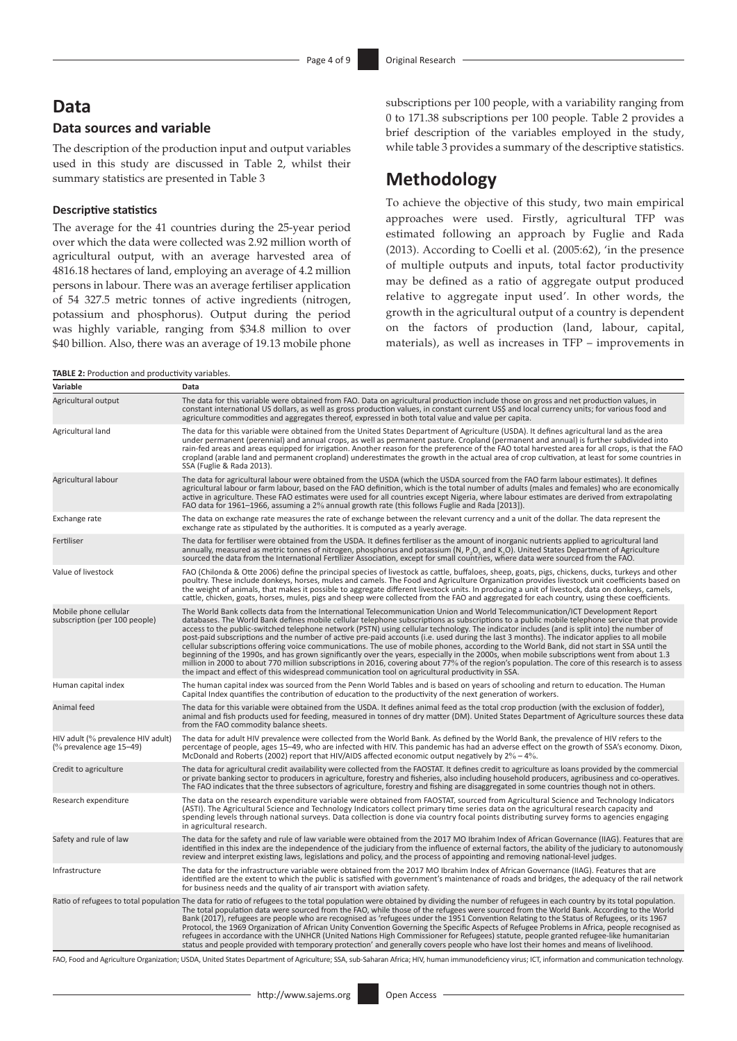## **Data**

## **Data sources and variable**

The description of the production input and output variables used in this study are discussed in Table 2, whilst their summary statistics are presented in Table 3

#### **Descriptive statistics**

The average for the 41 countries during the 25-year period over which the data were collected was 2.92 million worth of agricultural output, with an average harvested area of 4816.18 hectares of land, employing an average of 4.2 million persons in labour. There was an average fertiliser application of 54 327.5 metric tonnes of active ingredients (nitrogen, potassium and phosphorus). Output during the period was highly variable, ranging from \$34.8 million to over \$40 billion. Also, there was an average of 19.13 mobile phone

**TABLE 2:** Production and productivity variables.

subscriptions per 100 people, with a variability ranging from 0 to 171.38 subscriptions per 100 people. Table 2 provides a brief description of the variables employed in the study, while table 3 provides a summary of the descriptive statistics.

# **Methodology**

To achieve the objective of this study, two main empirical approaches were used. Firstly, agricultural TFP was estimated following an approach by Fuglie and Rada (2013). According to Coelli et al. (2005:62), 'in the presence of multiple outputs and inputs, total factor productivity may be defined as a ratio of aggregate output produced relative to aggregate input used'. In other words, the growth in the agricultural output of a country is dependent on the factors of production (land, labour, capital, materials), as well as increases in TFP – improvements in

| Variable                                                       | Data                                                                                                                                                                                                                                                                                                                                                                                                                                                                                                                                                                                                                                                                                                                                                                                                                                                                                                                                                                                                                                                                                                                               |
|----------------------------------------------------------------|------------------------------------------------------------------------------------------------------------------------------------------------------------------------------------------------------------------------------------------------------------------------------------------------------------------------------------------------------------------------------------------------------------------------------------------------------------------------------------------------------------------------------------------------------------------------------------------------------------------------------------------------------------------------------------------------------------------------------------------------------------------------------------------------------------------------------------------------------------------------------------------------------------------------------------------------------------------------------------------------------------------------------------------------------------------------------------------------------------------------------------|
| Agricultural output                                            | The data for this variable were obtained from FAO. Data on agricultural production include those on gross and net production values, in<br>constant international US dollars, as well as gross production values, in constant current US\$ and local currency units; for various food and<br>agriculture commodities and aggregates thereof, expressed in both total value and value per capita.                                                                                                                                                                                                                                                                                                                                                                                                                                                                                                                                                                                                                                                                                                                                   |
| Agricultural land                                              | The data for this variable were obtained from the United States Department of Agriculture (USDA). It defines agricultural land as the area<br>under permanent (perennial) and annual crops, as well as permanent pasture. Cropland (permanent and annual) is further subdivided into<br>rain-fed areas and areas equipped for irrigation. Another reason for the preference of the FAO total harvested area for all crops, is that the FAO<br>cropland (arable land and permanent cropland) underestimates the growth in the actual area of crop cultivation, at least for some countries in<br>SSA (Fuglie & Rada 2013).                                                                                                                                                                                                                                                                                                                                                                                                                                                                                                          |
| Agricultural labour                                            | The data for agricultural labour were obtained from the USDA (which the USDA sourced from the FAO farm labour estimates). It defines<br>agricultural labour or farm labour, based on the FAO definition, which is the total number of adults (males and females) who are economically<br>active in agriculture. These FAO estimates were used for all countries except Nigeria, where labour estimates are derived from extrapolating<br>FAO data for 1961–1966, assuming a 2% annual growth rate (this follows Fuglie and Rada [2013]).                                                                                                                                                                                                                                                                                                                                                                                                                                                                                                                                                                                           |
| Exchange rate                                                  | The data on exchange rate measures the rate of exchange between the relevant currency and a unit of the dollar. The data represent the<br>exchange rate as stipulated by the authorities. It is computed as a yearly average.                                                                                                                                                                                                                                                                                                                                                                                                                                                                                                                                                                                                                                                                                                                                                                                                                                                                                                      |
| Fertiliser                                                     | The data for fertiliser were obtained from the USDA. It defines fertiliser as the amount of inorganic nutrients applied to agricultural land<br>annually, measured as metric tonnes of nitrogen, phosphorus and potassium (N, P <sub>,</sub> O <sub>,</sub> and K,O). United States Department of Agriculture<br>sourced the data from the International Fertilizer Association, except for small countries, where data were sourced from the FAO.                                                                                                                                                                                                                                                                                                                                                                                                                                                                                                                                                                                                                                                                                 |
| Value of livestock                                             | FAO (Chilonda & Otte 2006) define the principal species of livestock as cattle, buffaloes, sheep, goats, pigs, chickens, ducks, turkeys and other<br>poultry. These include donkeys, horses, mules and camels. The Food and Agriculture Organization provides livestock unit coefficients based on<br>the weight of animals, that makes it possible to aggregate different livestock units. In producing a unit of livestock, data on donkeys, camels,<br>cattle, chicken, goats, horses, mules, pigs and sheep were collected from the FAO and aggregated for each country, using these coefficients.                                                                                                                                                                                                                                                                                                                                                                                                                                                                                                                             |
| Mobile phone cellular<br>subscription (per 100 people)         | The World Bank collects data from the International Telecommunication Union and World Telecommunication/ICT Development Report<br>databases. The World Bank defines mobile cellular telephone subscriptions as subscriptions to a public mobile telephone service that provide<br>access to the public-switched telephone network (PSTN) using cellular technology. The indicator includes (and is split into) the number of<br>post-paid subscriptions and the number of active pre-paid accounts (i.e. used during the last 3 months). The indicator applies to all mobile<br>cellular subscriptions offering voice communications. The use of mobile phones, according to the World Bank, did not start in SSA until the<br>beginning of the 1990s, and has grown significantly over the years, especially in the 2000s, when mobile subscriptions went from about 1.3<br>million in 2000 to about 770 million subscriptions in 2016, covering about 77% of the region's population. The core of this research is to assess<br>the impact and effect of this widespread communication tool on agricultural productivity in SSA. |
| Human capital index                                            | The human capital index was sourced from the Penn World Tables and is based on years of schooling and return to education. The Human<br>Capital Index quantifies the contribution of education to the productivity of the next generation of workers.                                                                                                                                                                                                                                                                                                                                                                                                                                                                                                                                                                                                                                                                                                                                                                                                                                                                              |
| Animal feed                                                    | The data for this variable were obtained from the USDA. It defines animal feed as the total crop production (with the exclusion of fodder),<br>animal and fish products used for feeding, measured in tonnes of dry matter (DM). United States Department of Agriculture sources these data<br>from the FAO commodity balance sheets.                                                                                                                                                                                                                                                                                                                                                                                                                                                                                                                                                                                                                                                                                                                                                                                              |
| HIV adult (% prevalence HIV adult)<br>(% prevalence age 15-49) | The data for adult HIV prevalence were collected from the World Bank. As defined by the World Bank, the prevalence of HIV refers to the<br>percentage of people, ages 15–49, who are infected with HIV. This pandemic has had an adverse effect on the growth of SSA's economy. Dixon,<br>McDonald and Roberts (2002) report that HIV/AIDS affected economic output negatively by $2\% - 4\%$ .                                                                                                                                                                                                                                                                                                                                                                                                                                                                                                                                                                                                                                                                                                                                    |
| Credit to agriculture                                          | The data for agricultural credit availability were collected from the FAOSTAT. It defines credit to agriculture as loans provided by the commercial<br>or private banking sector to producers in agriculture, forestry and fisheries, also including household producers, agribusiness and co-operatives.<br>The FAO indicates that the three subsectors of agriculture, forestry and fishing are disaggregated in some countries though not in others.                                                                                                                                                                                                                                                                                                                                                                                                                                                                                                                                                                                                                                                                            |
| Research expenditure                                           | The data on the research expenditure variable were obtained from FAOSTAT, sourced from Agricultural Science and Technology Indicators<br>(ASTI). The Agricultural Science and Technology Indicators collect primary time series data on the agricultural research capacity and<br>spending levels through national surveys. Data collection is done via country focal points distributing survey forms to agencies engaging<br>in agricultural research.                                                                                                                                                                                                                                                                                                                                                                                                                                                                                                                                                                                                                                                                           |
| Safety and rule of law                                         | The data for the safety and rule of law variable were obtained from the 2017 MO Ibrahim Index of African Governance (IIAG). Features that are<br>identified in this index are the independence of the judiciary from the influence of external factors, the ability of the judiciary to autonomously<br>review and interpret existing laws, legislations and policy, and the process of appointing and removing national-level judges.                                                                                                                                                                                                                                                                                                                                                                                                                                                                                                                                                                                                                                                                                             |
| Infrastructure                                                 | The data for the infrastructure variable were obtained from the 2017 MO Ibrahim Index of African Governance (IIAG). Features that are<br>identified are the extent to which the public is satisfied with government's maintenance of roads and bridges, the adequacy of the rail network<br>for business needs and the quality of air transport with aviation safety.                                                                                                                                                                                                                                                                                                                                                                                                                                                                                                                                                                                                                                                                                                                                                              |
|                                                                | Ratio of refugees to total population The data for ratio of refugees to the total population were obtained by dividing the number of refugees in each country by its total population.<br>The total population data were sourced from the FAO, while those of the refugees were sourced from the World Bank. According to the World<br>Bank (2017), refugees are people who are recognised as 'refugees under the 1951 Convention Relating to the Status of Refugees, or its 1967<br>Protocol, the 1969 Organization of African Unity Convention Governing the Specific Aspects of Refugee Problems in Africa, people recognised as<br>refugees in accordance with the UNHCR (United Nations High Commissioner for Refugees) statute, people granted refugee-like humanitarian<br>status and people provided with temporary protection' and generally covers people who have lost their homes and means of livelihood.                                                                                                                                                                                                             |

FAO, Food and Agriculture Organization; USDA, United States Department of Agriculture; SSA, sub-Saharan Africa; HIV, human immunodeficiency virus; ICT, information and communication technology.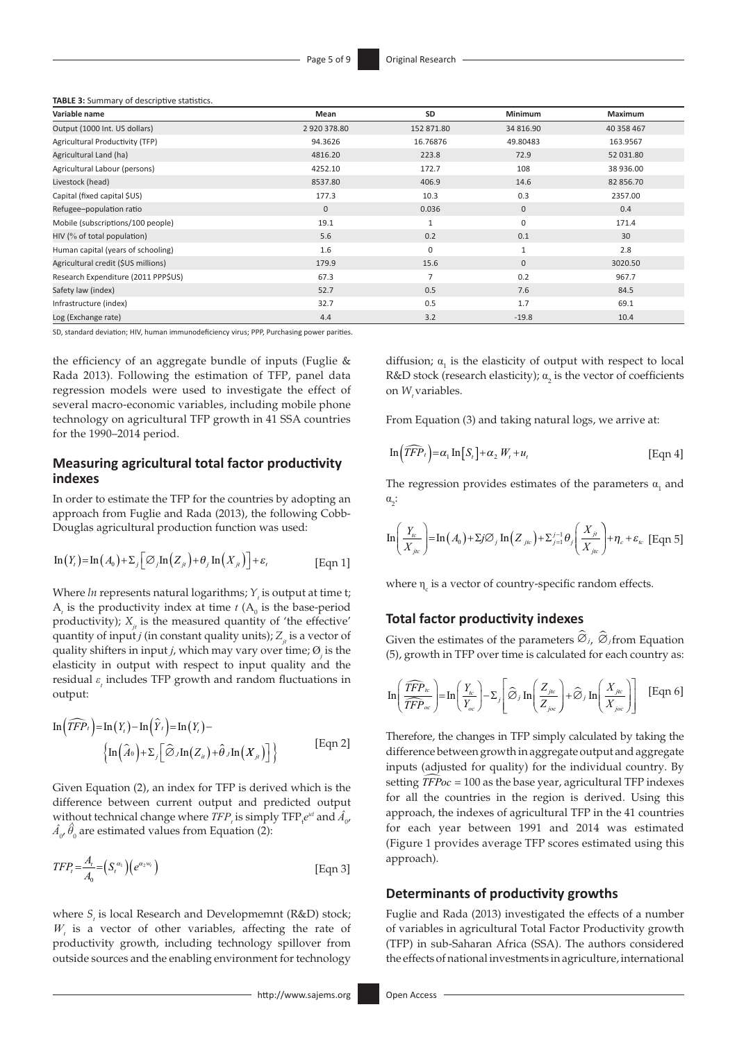**TABLE 3:** Summary of descriptive statistics.

| Variable name                       | Mean         | <b>SD</b>      | Minimum      | Maximum    |
|-------------------------------------|--------------|----------------|--------------|------------|
| Output (1000 Int. US dollars)       | 2920378.80   | 152 871.80     | 34 816.90    | 40 358 467 |
| Agricultural Productivity (TFP)     | 94.3626      | 16.76876       | 49.80483     | 163.9567   |
| Agricultural Land (ha)              | 4816.20      | 223.8          | 72.9         | 52 031.80  |
| Agricultural Labour (persons)       | 4252.10      | 172.7          | 108          | 38 936.00  |
| Livestock (head)                    | 8537.80      | 406.9          | 14.6         | 82 856.70  |
| Capital (fixed capital \$US)        | 177.3        | 10.3           | 0.3          | 2357.00    |
| Refugee-population ratio            | $\mathbf{0}$ | 0.036          | $\mathbf{0}$ | 0.4        |
| Mobile (subscriptions/100 people)   | 19.1         | $\mathbf{1}$   | 0            | 171.4      |
| HIV (% of total population)         | 5.6          | 0.2            | 0.1          | 30         |
| Human capital (years of schooling)  | 1.6          | $\mathbf 0$    | $\mathbf{1}$ | 2.8        |
| Agricultural credit (\$US millions) | 179.9        | 15.6           | $\mathbf{0}$ | 3020.50    |
| Research Expenditure (2011 PPP\$US) | 67.3         | $\overline{7}$ | 0.2          | 967.7      |
| Safety law (index)                  | 52.7         | 0.5            | 7.6          | 84.5       |
| Infrastructure (index)              | 32.7         | 0.5            | 1.7          | 69.1       |
| Log (Exchange rate)                 | 4.4          | 3.2            | $-19.8$      | 10.4       |

SD, standard deviation; HIV, human immunodeficiency virus; PPP, Purchasing power parities.

the efficiency of an aggregate bundle of inputs (Fuglie  $\&$ Rada 2013). Following the estimation of TFP, panel data regression models were used to investigate the effect of several macro-economic variables, including mobile phone technology on agricultural TFP growth in 41 SSA countries for the 1990–2014 period.

### **Measuring agricultural total factor productivity indexes**

In order to estimate the TFP for the countries by adopting an approach from Fuglie and Rada (2013), the following Cobb-Douglas agricultural production function was used:

$$
\ln(Y_t) = \ln(A_0) + \sum_j [\mathcal{O}_j \ln(Z_{j_t}) + \theta_j \ln(X_{j_t})] + \varepsilon_t
$$
 [Eqn 1]

Where  $ln$  represents natural logarithms;  $Y<sub>t</sub>$  is output at time t;  $A_t$  is the productivity index at time *t* ( $A_0$  is the base-period productivity);  $X_{ij}$  is the measured quantity of 'the effective' quantity of input *j* (in constant quality units);  $Z_{ij}$  is a vector of quality shifters in input *j*, which may vary over time; Ø*<sup>j</sup>* is the elasticity in output with respect to input quality and the residual *ε<sup>t</sup>* includes TFP growth and random fluctuations in output:

$$
\ln\left(\widehat{TFP}_{t}\right) = \ln(Y_{t}) - \ln\left(\widehat{Y}_{t}\right) = \ln(Y_{t}) - \left\{\ln\left(\widehat{A}_{0}\right) + \sum_{j} \left[\widehat{\varnothing}_{j} \ln(Z_{ij}) + \widehat{\theta}_{j} \ln(X_{ji})\right]\right\}
$$
 [Eqn 2]

Given Equation (2), an index for TFP is derived which is the difference between current output and predicted output without technical change where  $TFP_t$  is simply  $TFP_t e^{ut}$  and  $\hat{A}_{0}$ ,  $\hat{A}_{0'}\hat{\theta}_0$  are estimated values from Equation (2):

$$
TFP_{t} = \frac{A_{t}}{A_{0}} = (S_{t}^{\alpha_{1}})(e^{\alpha_{2}w_{t}})
$$
 [Eqn 3]

where  $S<sub>t</sub>$  is local Research and Developmemnt (R&D) stock; *Wt* is a vector of other variables, affecting the rate of productivity growth, including technology spillover from outside sources and the enabling environment for technology

diffusion;  $\alpha_1$  is the elasticity of output with respect to local R&D stock (research elasticity);  $a_2$  is the vector of coefficients on *W*<sub>*t*</sub> variables.

From Equation (3) and taking natural logs, we arrive at:

$$
\ln\left(\widehat{TFP}_t\right) = \alpha_1 \ln\left[S_t\right] + \alpha_2 W_t + u_t \tag{Eqn 4}
$$

The regression provides estimates of the parameters  $\alpha_1$  and  $\alpha_2$ :

$$
\ln\left(\frac{Y_{ic}}{X_{jic}}\right) = \ln(A_0) + \sum_{j} \mathcal{O}_j \ln\left(Z_{jic}\right) + \sum_{j=1}^{j-1} \theta_j \left(\frac{X_{ji}}{X_{jic}}\right) + \eta_c + \varepsilon_{ic} \text{ [Eqn 5]}
$$

where  $\eta_c$  is a vector of country-specific random effects.

#### **Total factor productivity indexes**

Given the estimates of the parameters  $\widehat{\varnothing}_j$ ,  $\widehat{\varnothing}_j$  from Equation (5), growth in TFP over time is calculated for each country as:

$$
\ln\left(\frac{\widehat{TFP}_{\text{tc}}}{\widehat{TFP}_{\text{oc}}}\right) = \ln\left(\frac{Y_{\text{tc}}}{Y_{\text{oc}}}\right) - \Sigma_j \left[\widehat{\varnothing}_{j} \ln\left(\frac{Z_{\text{jtc}}}{Z_{\text{joc}}}\right) + \widehat{\varnothing}_{j} \ln\left(\frac{X_{\text{jtc}}}{X_{\text{joc}}}\right)\right]
$$
 [Eqn 6]

Therefore, the changes in TFP simply calculated by taking the difference between growth in aggregate output and aggregate inputs (adjusted for quality) for the individual country. By setting *TFPoc* = 100 as the base year, agricultural TFP indexes for all the countries in the region is derived. Using this approach, the indexes of agricultural TFP in the 41 countries for each year between 1991 and 2014 was estimated (Figure 1 provides average TFP scores estimated using this approach).

#### **Determinants of productivity growths**

Fuglie and Rada (2013) investigated the effects of a number of variables in agricultural Total Factor Productivity growth (TFP) in sub-Saharan Africa (SSA). The authors considered the effects of national investments in agriculture, international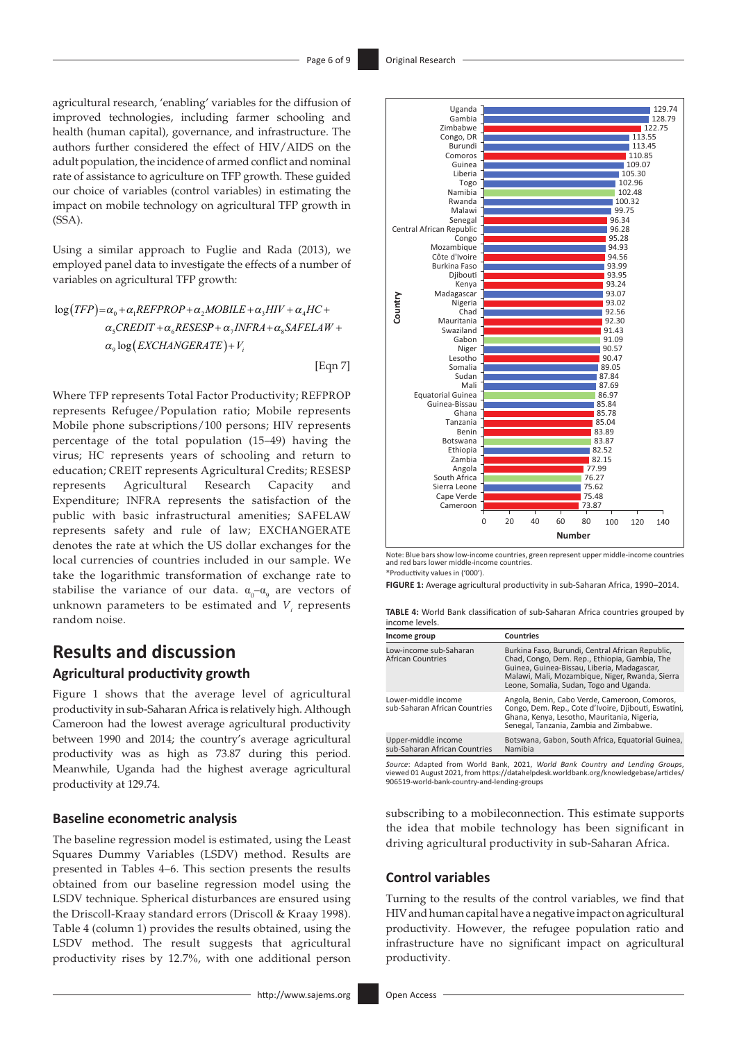agricultural research, 'enabling' variables for the diffusion of improved technologies, including farmer schooling and health (human capital), governance, and infrastructure. The authors further considered the effect of HIV/AIDS on the adult population, the incidence of armed conflict and nominal rate of assistance to agriculture on TFP growth. These guided our choice of variables (control variables) in estimating the impact on mobile technology on agricultural TFP growth in (SSA).

Using a similar approach to Fuglie and Rada (2013), we employed panel data to investigate the effects of a number of variables on agricultural TFP growth:

 $\log(TFP)$ = $\alpha_{\scriptscriptstyle 0}$  +  $\alpha_{\scriptscriptstyle 1}$ REFPROP +  $\alpha_{\scriptscriptstyle 2}$ MOBILE +  $\alpha_{\scriptscriptstyle 3}$ HIV +  $\alpha_{\scriptscriptstyle 4}$ HC +  $\alpha_s$ CREDIT +  $\alpha_s$ RESESP +  $\alpha_7$ INFRA +  $\alpha_s$ SAFELAW +  $\alpha_\text{\tiny{9}} \log \bigl( {\textit{EXCHANGERATE}} \bigr) {+} \, V_i$ 

[Eqn 7]

Where TFP represents Total Factor Productivity; REFPROP represents Refugee/Population ratio; Mobile represents Mobile phone subscriptions/100 persons; HIV represents percentage of the total population (15–49) having the virus; HC represents years of schooling and return to education; CREIT represents Agricultural Credits; RESESP represents Agricultural Research Capacity and Expenditure; INFRA represents the satisfaction of the public with basic infrastructural amenities; SAFELAW represents safety and rule of law; EXCHANGERATE denotes the rate at which the US dollar exchanges for the local currencies of countries included in our sample. We take the logarithmic transformation of exchange rate to stabilise the variance of our data.  $\alpha_{0}$ – $\alpha_{9}$  are vectors of unknown parameters to be estimated and *V<sup>i</sup>* represents random noise.

# **Results and discussion**

### **Agricultural productivity growth**

Figure 1 shows that the average level of agricultural productivity in sub-Saharan Africa is relatively high. Although Cameroon had the lowest average agricultural productivity between 1990 and 2014; the country's average agricultural productivity was as high as 73.87 during this period. Meanwhile, Uganda had the highest average agricultural productivity at 129.74.

#### **Baseline econometric analysis**

The baseline regression model is estimated, using the Least Squares Dummy Variables (LSDV) method. Results are presented in Tables 4–6. This section presents the results obtained from our baseline regression model using the LSDV technique. Spherical disturbances are ensured using the Driscoll-Kraay standard errors (Driscoll & Kraay 1998). Table 4 (column 1) provides the results obtained, using the LSDV method. The result suggests that agricultural productivity rises by 12.7%, with one additional person



Note: Blue bars show low-income countries, green represent upper middle-income countries and red bars lower middle-income countries.

\*Productivity values in ('000').

**FIGURE 1:** Average agricultural productivity in sub-Saharan Africa, 1990–2014.

**TABLE 4:** World Bank classification of sub-Saharan Africa countries grouped by income levels.

| Income group                                         | <b>Countries</b>                                                                                                                                                                                                                               |  |
|------------------------------------------------------|------------------------------------------------------------------------------------------------------------------------------------------------------------------------------------------------------------------------------------------------|--|
| Low-income sub-Saharan<br>African Countries          | Burkina Faso, Burundi, Central African Republic,<br>Chad, Congo, Dem. Rep., Ethiopia, Gambia, The<br>Guinea, Guinea-Bissau, Liberia, Madagascar,<br>Malawi, Mali, Mozambique, Niger, Rwanda, Sierra<br>Leone, Somalia, Sudan, Togo and Uganda. |  |
| Lower-middle income<br>sub-Saharan African Countries | Angola, Benin, Cabo Verde, Cameroon, Comoros,<br>Congo, Dem. Rep., Cote d'Ivoire, Djibouti, Eswatini,<br>Ghana, Kenya, Lesotho, Mauritania, Nigeria,<br>Senegal, Tanzania, Zambia and Zimbabwe.                                                |  |
| Upper-middle income<br>sub-Saharan African Countries | Botswana, Gabon, South Africa, Equatorial Guinea,<br>Namibia                                                                                                                                                                                   |  |

*Source*: Adapted from World Bank, 2021, *World Bank Country and Lending Groups*, viewed 01 August 2021, from [https://datahelpdesk.worldbank.org/knowledgebase/articles/](https://datahelpdesk.worldbank.org/knowledgebase/articles/​906519-world-bank-country-and-lending-groups) [906519-world-bank-country-and-lending-groups](https://datahelpdesk.worldbank.org/knowledgebase/articles/​906519-world-bank-country-and-lending-groups)

subscribing to a mobileconnection. This estimate supports the idea that mobile technology has been significant in driving agricultural productivity in sub-Saharan Africa.

#### **Control variables**

Turning to the results of the control variables, we find that HIV and human capital have a negative impact on agricultural productivity. However, the refugee population ratio and infrastructure have no significant impact on agricultural productivity.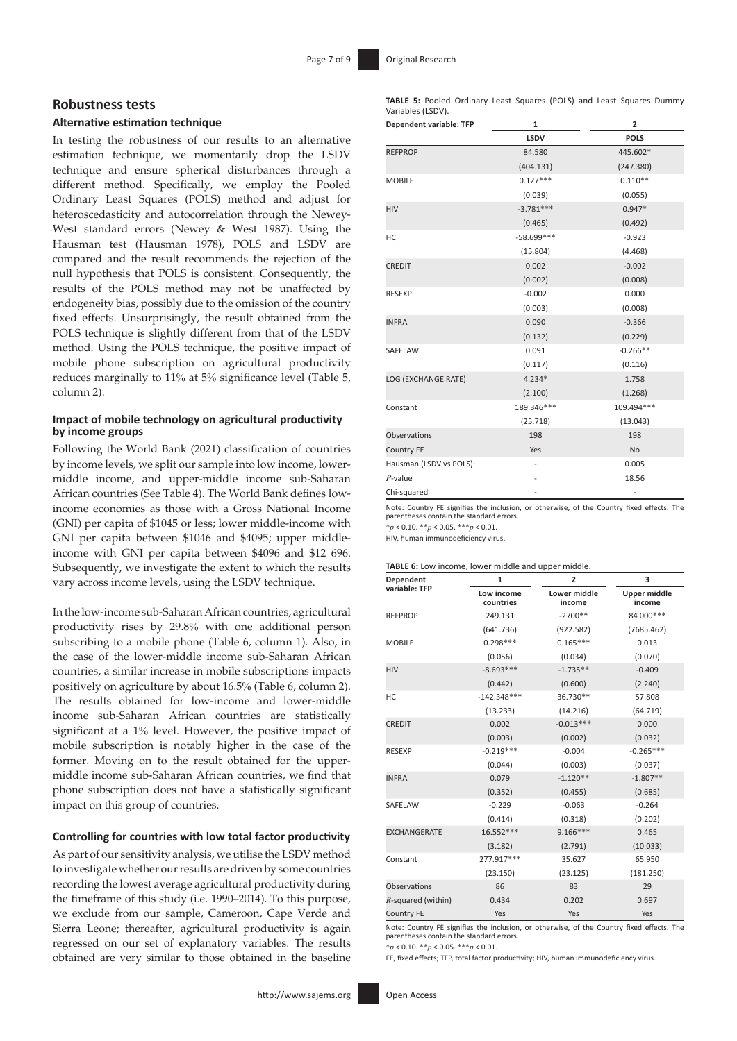### **Robustness tests**

## **Alternative estimation technique**

In testing the robustness of our results to an alternative estimation technique, we momentarily drop the LSDV technique and ensure spherical disturbances through a different method. Specifically, we employ the Pooled Ordinary Least Squares (POLS) method and adjust for heteroscedasticity and autocorrelation through the Newey-West standard errors (Newey & West 1987). Using the Hausman test (Hausman 1978), POLS and LSDV are compared and the result recommends the rejection of the null hypothesis that POLS is consistent. Consequently, the results of the POLS method may not be unaffected by endogeneity bias, possibly due to the omission of the country fixed effects. Unsurprisingly, the result obtained from the POLS technique is slightly different from that of the LSDV method. Using the POLS technique, the positive impact of mobile phone subscription on agricultural productivity reduces marginally to 11% at 5% significance level (Table 5, column 2).

#### **Impact of mobile technology on agricultural productivity by income groups**

Following the World Bank (2021) classification of countries by income levels, we split our sample into low income, lowermiddle income, and upper-middle income sub-Saharan African countries (See Table 4). The World Bank defines lowincome economies as those with a Gross National Income (GNI) per capita of \$1045 or less; lower middle-income with GNI per capita between \$1046 and \$4095; upper middleincome with GNI per capita between \$4096 and \$12 696. Subsequently, we investigate the extent to which the results vary across income levels, using the LSDV technique.

In the low-income sub-Saharan African countries, agricultural productivity rises by 29.8% with one additional person subscribing to a mobile phone (Table 6, column 1). Also, in the case of the lower-middle income sub-Saharan African countries, a similar increase in mobile subscriptions impacts positively on agriculture by about 16.5% (Table 6, column 2). The results obtained for low-income and lower-middle income sub-Saharan African countries are statistically significant at a 1% level. However, the positive impact of mobile subscription is notably higher in the case of the former. Moving on to the result obtained for the uppermiddle income sub-Saharan African countries, we find that phone subscription does not have a statistically significant impact on this group of countries.

#### **Controlling for countries with low total factor productivity**

As part of our sensitivity analysis, we utilise the LSDV method to investigate whether our results are driven by some countries recording the lowest average agricultural productivity during the timeframe of this study (i.e. 1990–2014). To this purpose, we exclude from our sample, Cameroon, Cape Verde and Sierra Leone; thereafter, agricultural productivity is again regressed on our set of explanatory variables. The results obtained are very similar to those obtained in the baseline

| Dependent variable: TFP | $\mathbf 1$ | $\overline{2}$ |  |
|-------------------------|-------------|----------------|--|
|                         | <b>LSDV</b> | <b>POLS</b>    |  |
| <b>REFPROP</b>          | 84.580      | 445.602*       |  |
|                         | (404.131)   | (247.380)      |  |
| <b>MOBILE</b>           | $0.127***$  | $0.110**$      |  |
|                         | (0.039)     | (0.055)        |  |
| <b>HIV</b>              | $-3.781***$ | $0.947*$       |  |
|                         | (0.465)     | (0.492)        |  |
| HC                      | -58.699 *** | $-0.923$       |  |
|                         | (15.804)    | (4.468)        |  |
| <b>CREDIT</b>           | 0.002       | $-0.002$       |  |
|                         | (0.002)     | (0.008)        |  |
| <b>RESEXP</b>           | $-0.002$    | 0.000          |  |
|                         | (0.003)     | (0.008)        |  |
| <b>INFRA</b>            | 0.090       | $-0.366$       |  |
|                         | (0.132)     | (0.229)        |  |
| SAFELAW                 | 0.091       | $-0.266**$     |  |
|                         | (0.117)     | (0.116)        |  |
| LOG (EXCHANGE RATE)     | $4.234*$    | 1.758          |  |
|                         | (2.100)     | (1.268)        |  |
| Constant                | 189.346***  | 109.494 ***    |  |
|                         | (25.718)    | (13.043)       |  |
| Observations            | 198         | 198            |  |
| <b>Country FE</b>       | Yes         | No             |  |
| Hausman (LSDV vs POLS): |             | 0.005          |  |
| $P$ -value              |             | 18.56          |  |
| Chi-squared             |             |                |  |

Note: Country FE signifies the inclusion, or otherwise, of the Country fixed effects. The parentheses contain the standard errors.

\**p* < 0.10. \*\**p* < 0.05. \*\*\**p* < 0.01.

HIV, human immunodeficiency virus.

#### **TABLE 6:** Low income, lower middle and upper middle.

| Dependent             | 1                       | 2                      | 3                      |  |
|-----------------------|-------------------------|------------------------|------------------------|--|
| variable: TFP         | Low income<br>countries | Lower middle<br>income | Upper middle<br>income |  |
| <b>REFPROP</b>        | 249.131                 | $-2700**$              | 84 000 ***             |  |
|                       | (641.736)               | (922.582)              | (7685.462)             |  |
| <b>MOBILE</b>         | $0.298***$              | $0.165***$             | 0.013                  |  |
|                       | (0.056)                 | (0.034)                | (0.070)                |  |
| <b>HIV</b>            | $-8.693***$             | $-1.735**$             | $-0.409$               |  |
|                       | (0.442)                 | (0.600)                | (2.240)                |  |
| HC                    | $-142.348***$           | 36.730**               | 57.808                 |  |
|                       | (13.233)                | (14.216)               | (64.719)               |  |
| <b>CREDIT</b>         | 0.002                   | $-0.013***$            | 0.000                  |  |
|                       | (0.003)                 | (0.002)                | (0.032)                |  |
| <b>RESEXP</b>         | $-0.219***$             | $-0.004$               | $-0.265***$            |  |
|                       | (0.044)                 | (0.003)                | (0.037)                |  |
| <b>INFRA</b>          | 0.079                   | $-1.120**$             | $-1.807**$             |  |
|                       | (0.352)                 | (0.455)                | (0.685)                |  |
| SAFELAW               | $-0.229$                | $-0.063$               | $-0.264$               |  |
|                       | (0.414)                 | (0.318)                | (0.202)                |  |
| <b>EXCHANGERATE</b>   | 16.552***               | $9.166***$             | 0.465                  |  |
|                       | (3.182)                 | (2.791)                | (10.033)               |  |
| Constant              | 277.917***              | 35.627                 | 65.950                 |  |
|                       | (23.150)                | (23.125)               | (181.250)              |  |
| Observations          | 86                      | 83                     | 29                     |  |
| $R$ -squared (within) | 0.434                   | 0.202                  | 0.697                  |  |
| <b>Country FE</b>     | Yes                     | Yes                    | Yes                    |  |

Note: Country FE signifies the inclusion, or otherwise, of the Country fixed effects. The parentheses contain the standard errors.

\**p* < 0.10. \*\**p* < 0.05. \*\*\**p* < 0.01.

FE, fixed effects; TFP, total factor productivity; HIV, human immunodeficiency virus.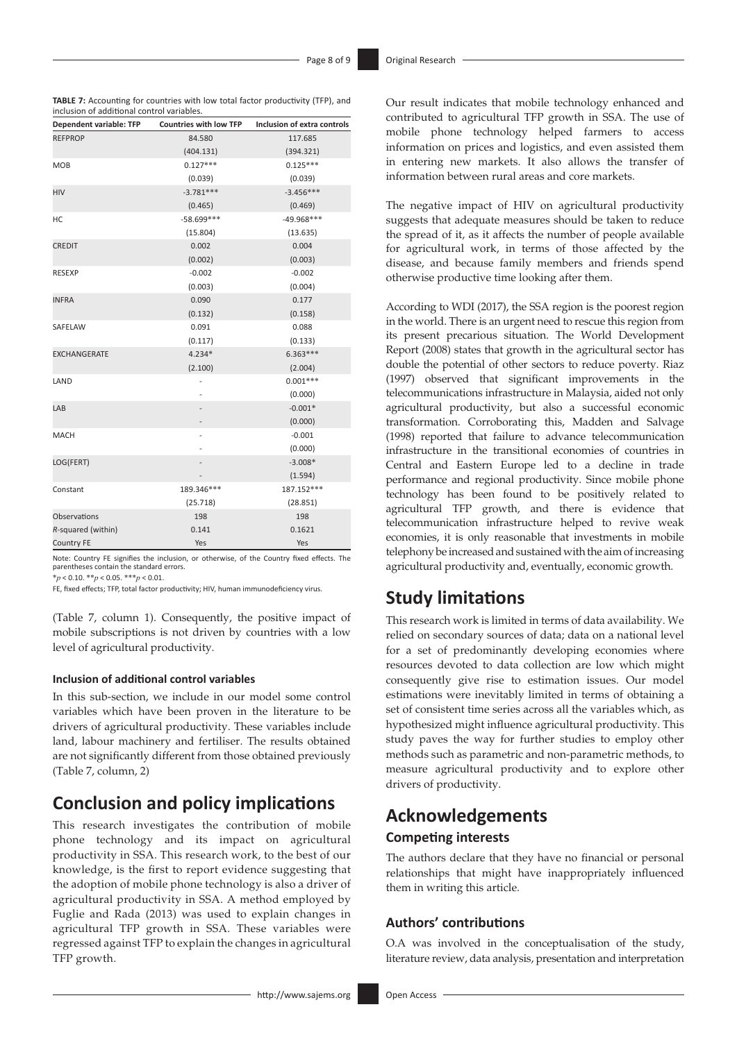**TABLE 7:** Accounting for countries with low total factor productivity (TFP), and inclusion of additional control variables.

| Dependent variable: TFP | <b>Countries with low TFP</b> | Inclusion of extra controls |
|-------------------------|-------------------------------|-----------------------------|
| <b>REFPROP</b>          | 84.580                        | 117.685                     |
|                         | (404.131)                     | (394.321)                   |
| <b>MOB</b>              | $0.127***$                    | $0.125***$                  |
|                         | (0.039)                       | (0.039)                     |
| <b>HIV</b>              | $-3.781***$                   | $-3.456***$                 |
|                         | (0.465)                       | (0.469)                     |
| НC                      | $-58.699***$                  | $-49.968***$                |
|                         | (15.804)                      | (13.635)                    |
| <b>CREDIT</b>           | 0.002                         | 0.004                       |
|                         | (0.002)                       | (0.003)                     |
| <b>RESEXP</b>           | $-0.002$                      | $-0.002$                    |
|                         | (0.003)                       | (0.004)                     |
| <b>INFRA</b>            | 0.090                         | 0.177                       |
|                         | (0.132)                       | (0.158)                     |
| SAFELAW                 | 0.091                         | 0.088                       |
|                         | (0.117)                       | (0.133)                     |
| <b>EXCHANGERATE</b>     | $4.234*$                      | $6.363***$                  |
|                         | (2.100)                       | (2.004)                     |
| LAND                    |                               | $0.001***$                  |
|                         |                               | (0.000)                     |
| LAB                     |                               | $-0.001*$                   |
|                         | -                             | (0.000)                     |
| <b>MACH</b>             |                               | $-0.001$                    |
|                         |                               | (0.000)                     |
| LOG(FERT)               |                               | $-3.008*$                   |
|                         |                               | (1.594)                     |
| Constant                | 189.346***                    | 187.152***                  |
|                         | (25.718)                      | (28.851)                    |
| Observations            | 198                           | 198                         |
| R-squared (within)      | 0.141                         | 0.1621                      |
| <b>Country FE</b>       | Yes                           | Yes                         |

Note: Country FE signifies the inclusion, or otherwise, of the Country fixed effects. The parentheses contain the standard errors.

\**p* < 0.10. \*\**p* < 0.05. \*\*\**p* < 0.01.

FE, fixed effects; TFP, total factor productivity; HIV, human immunodeficiency virus.

(Table 7, column 1). Consequently, the positive impact of mobile subscriptions is not driven by countries with a low level of agricultural productivity.

#### **Inclusion of additional control variables**

In this sub-section, we include in our model some control variables which have been proven in the literature to be drivers of agricultural productivity. These variables include land, labour machinery and fertiliser. The results obtained are not significantly different from those obtained previously (Table 7, column, 2)

# **Conclusion and policy implications**

This research investigates the contribution of mobile phone technology and its impact on agricultural productivity in SSA. This research work, to the best of our knowledge, is the first to report evidence suggesting that the adoption of mobile phone technology is also a driver of agricultural productivity in SSA. A method employed by Fuglie and Rada (2013) was used to explain changes in agricultural TFP growth in SSA. These variables were regressed against TFP to explain the changes in agricultural TFP growth.

Our result indicates that mobile technology enhanced and contributed to agricultural TFP growth in SSA. The use of mobile phone technology helped farmers to access information on prices and logistics, and even assisted them in entering new markets. It also allows the transfer of information between rural areas and core markets.

The negative impact of HIV on agricultural productivity suggests that adequate measures should be taken to reduce the spread of it, as it affects the number of people available for agricultural work, in terms of those affected by the disease, and because family members and friends spend otherwise productive time looking after them.

According to WDI (2017), the SSA region is the poorest region in the world. There is an urgent need to rescue this region from its present precarious situation. The World Development Report (2008) states that growth in the agricultural sector has double the potential of other sectors to reduce poverty. Riaz (1997) observed that significant improvements in the telecommunications infrastructure in Malaysia, aided not only agricultural productivity, but also a successful economic transformation. Corroborating this, Madden and Salvage (1998) reported that failure to advance telecommunication infrastructure in the transitional economies of countries in Central and Eastern Europe led to a decline in trade performance and regional productivity. Since mobile phone technology has been found to be positively related to agricultural TFP growth, and there is evidence that telecommunication infrastructure helped to revive weak economies, it is only reasonable that investments in mobile telephony be increased and sustained with the aim of increasing agricultural productivity and, eventually, economic growth.

## **Study limitations**

This research work is limited in terms of data availability. We relied on secondary sources of data; data on a national level for a set of predominantly developing economies where resources devoted to data collection are low which might consequently give rise to estimation issues. Our model estimations were inevitably limited in terms of obtaining a set of consistent time series across all the variables which, as hypothesized might influence agricultural productivity. This study paves the way for further studies to employ other methods such as parametric and non-parametric methods, to measure agricultural productivity and to explore other drivers of productivity.

## **Acknowledgements Competing interests**

The authors declare that they have no financial or personal relationships that might have inappropriately influenced them in writing this article.

### **Authors' contributions**

O.A was involved in the conceptualisation of the study, literature review, data analysis, presentation and interpretation